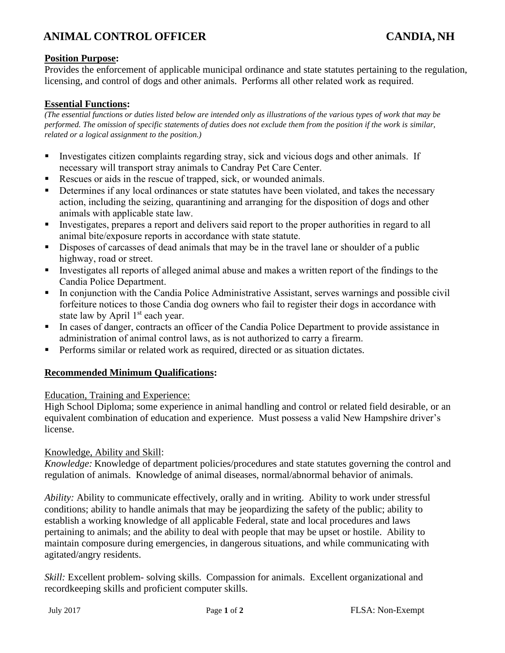# **ANIMAL CONTROL OFFICER CANDIA, NH**

## **Position Purpose:**

Provides the enforcement of applicable municipal ordinance and state statutes pertaining to the regulation, licensing, and control of dogs and other animals. Performs all other related work as required.

### **Essential Functions:**

*(The essential functions or duties listed below are intended only as illustrations of the various types of work that may be performed. The omission of specific statements of duties does not exclude them from the position if the work is similar, related or a logical assignment to the position.)*

- Investigates citizen complaints regarding stray, sick and vicious dogs and other animals. If necessary will transport stray animals to Candray Pet Care Center.
- Rescues or aids in the rescue of trapped, sick, or wounded animals.
- Determines if any local ordinances or state statutes have been violated, and takes the necessary action, including the seizing, quarantining and arranging for the disposition of dogs and other animals with applicable state law.
- Investigates, prepares a report and delivers said report to the proper authorities in regard to all animal bite/exposure reports in accordance with state statute.
- **EXECUTE:** Disposes of carcasses of dead animals that may be in the travel lane or shoulder of a public highway, road or street.
- Investigates all reports of alleged animal abuse and makes a written report of the findings to the Candia Police Department.
- **•** In conjunction with the Candia Police Administrative Assistant, serves warnings and possible civil forfeiture notices to those Candia dog owners who fail to register their dogs in accordance with state law by April  $1<sup>st</sup>$  each year.
- **If** In cases of danger, contracts an officer of the Candia Police Department to provide assistance in administration of animal control laws, as is not authorized to carry a firearm.
- Performs similar or related work as required, directed or as situation dictates.

### **Recommended Minimum Qualifications:**

### Education, Training and Experience:

High School Diploma; some experience in animal handling and control or related field desirable, or an equivalent combination of education and experience. Must possess a valid New Hampshire driver's license.

### Knowledge, Ability and Skill:

*Knowledge:* Knowledge of department policies/procedures and state statutes governing the control and regulation of animals. Knowledge of animal diseases, normal/abnormal behavior of animals.

*Ability:* Ability to communicate effectively, orally and in writing. Ability to work under stressful conditions; ability to handle animals that may be jeopardizing the safety of the public; ability to establish a working knowledge of all applicable Federal, state and local procedures and laws pertaining to animals; and the ability to deal with people that may be upset or hostile. Ability to maintain composure during emergencies, in dangerous situations, and while communicating with agitated/angry residents.

*Skill:* Excellent problem- solving skills. Compassion for animals. Excellent organizational and recordkeeping skills and proficient computer skills.